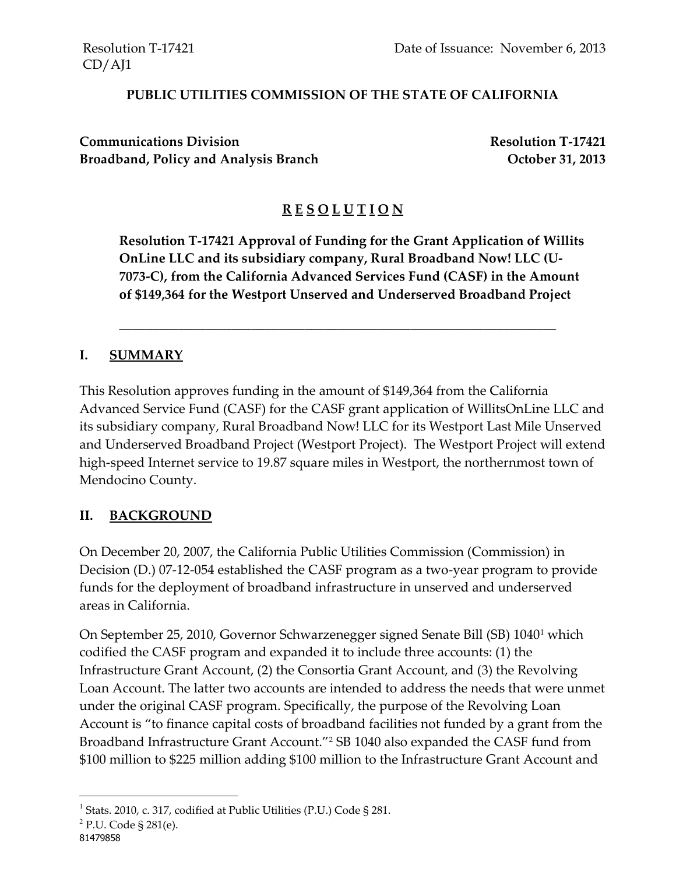#### **PUBLIC UTILITIES COMMISSION OF THE STATE OF CALIFORNIA**

**Communications Division Resolution T-17421** Broadband, Policy and Analysis Branch **Decay and Analysis Branch** October 31, 2013

### **R E S O L U T I O N**

**Resolution T-17421 Approval of Funding for the Grant Application of Willits OnLine LLC and its subsidiary company, Rural Broadband Now! LLC (U-7073-C), from the California Advanced Services Fund (CASF) in the Amount of \$149,364 for the Westport Unserved and Underserved Broadband Project**

\_\_\_\_\_\_\_\_\_\_\_\_\_\_\_\_\_\_\_\_\_\_\_\_\_\_\_\_\_\_\_\_\_\_\_\_\_\_\_\_\_\_\_\_\_\_\_\_\_\_\_\_\_\_\_\_\_\_\_\_\_\_\_\_\_\_

#### **I. SUMMARY**

This Resolution approves funding in the amount of \$149,364 from the California Advanced Service Fund (CASF) for the CASF grant application of WillitsOnLine LLC and its subsidiary company, Rural Broadband Now! LLC for its Westport Last Mile Unserved and Underserved Broadband Project (Westport Project). The Westport Project will extend high-speed Internet service to 19.87 square miles in Westport, the northernmost town of Mendocino County.

### **II. BACKGROUND**

On December 20, 2007, the California Public Utilities Commission (Commission) in Decision (D.) 07-12-054 established the CASF program as a two-year program to provide funds for the deployment of broadband infrastructure in unserved and underserved areas in California.

On September 25, 2010, Governor Schwarzenegger signed Senate Bill (SB) 1040<sup>1</sup> which codified the CASF program and expanded it to include three accounts: (1) the Infrastructure Grant Account, (2) the Consortia Grant Account, and (3) the Revolving Loan Account. The latter two accounts are intended to address the needs that were unmet under the original CASF program. Specifically, the purpose of the Revolving Loan Account is "to finance capital costs of broadband facilities not funded by a grant from the Broadband Infrastructure Grant Account."<sup>2</sup> SB 1040 also expanded the CASF fund from \$100 million to \$225 million adding \$100 million to the Infrastructure Grant Account and

l

<sup>&</sup>lt;sup>1</sup> Stats. 2010, c. 317, codified at Public Utilities (P.U.) Code § 281.

<sup>&</sup>lt;sup>2</sup> P.U. Code § 281(e).

<sup>81479858</sup>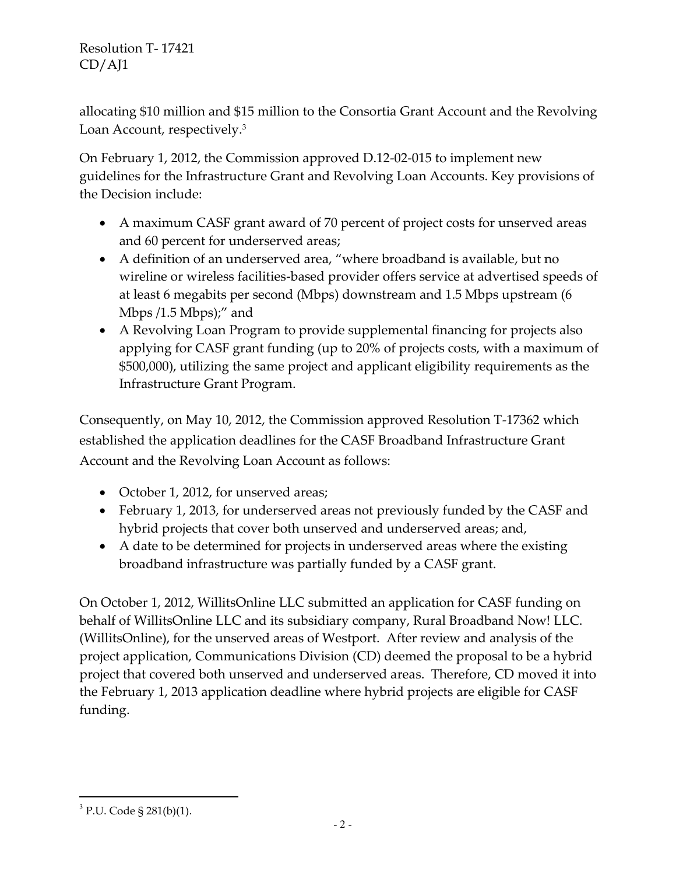allocating \$10 million and \$15 million to the Consortia Grant Account and the Revolving Loan Account, respectively.<sup>3</sup>

On February 1, 2012, the Commission approved D.12-02-015 to implement new guidelines for the Infrastructure Grant and Revolving Loan Accounts. Key provisions of the Decision include:

- A maximum CASF grant award of 70 percent of project costs for unserved areas and 60 percent for underserved areas;
- A definition of an underserved area, "where broadband is available, but no wireline or wireless facilities-based provider offers service at advertised speeds of at least 6 megabits per second (Mbps) downstream and 1.5 Mbps upstream (6 Mbps /1.5 Mbps);" and
- A Revolving Loan Program to provide supplemental financing for projects also applying for CASF grant funding (up to 20% of projects costs, with a maximum of \$500,000), utilizing the same project and applicant eligibility requirements as the Infrastructure Grant Program.

Consequently, on May 10, 2012, the Commission approved Resolution T-17362 which established the application deadlines for the CASF Broadband Infrastructure Grant Account and the Revolving Loan Account as follows:

- October 1, 2012, for unserved areas;
- February 1, 2013, for underserved areas not previously funded by the CASF and hybrid projects that cover both unserved and underserved areas; and,
- A date to be determined for projects in underserved areas where the existing broadband infrastructure was partially funded by a CASF grant.

On October 1, 2012, WillitsOnline LLC submitted an application for CASF funding on behalf of WillitsOnline LLC and its subsidiary company, Rural Broadband Now! LLC. (WillitsOnline), for the unserved areas of Westport. After review and analysis of the project application, Communications Division (CD) deemed the proposal to be a hybrid project that covered both unserved and underserved areas. Therefore, CD moved it into the February 1, 2013 application deadline where hybrid projects are eligible for CASF funding.

 $\overline{a}$ <sup>3</sup> P.U. Code § 281(b)(1).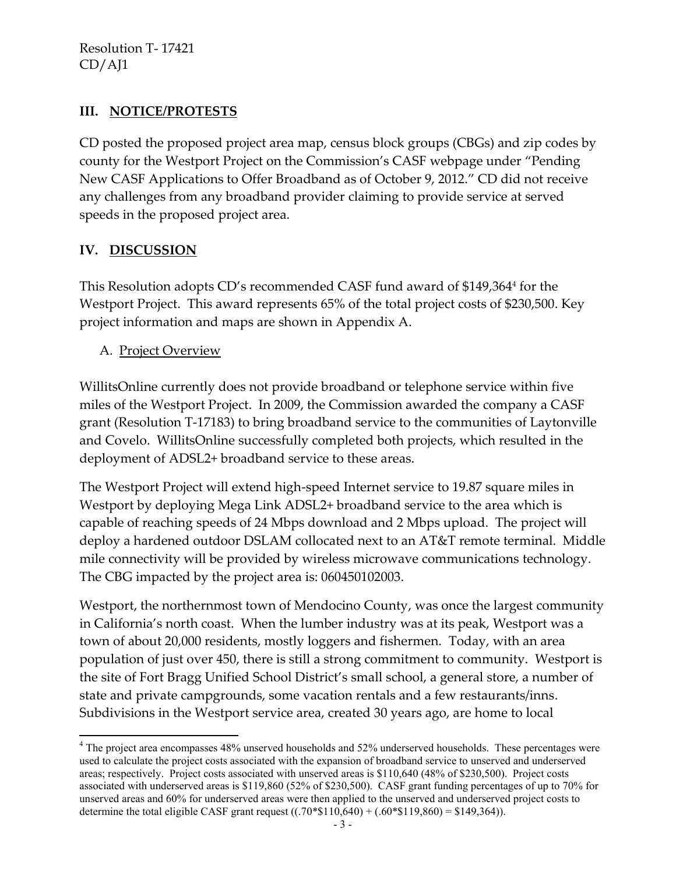### **III. NOTICE/PROTESTS**

CD posted the proposed project area map, census block groups (CBGs) and zip codes by county for the Westport Project on the Commission's CASF webpage under "Pending New CASF Applications to Offer Broadband as of October 9, 2012." CD did not receive any challenges from any broadband provider claiming to provide service at served speeds in the proposed project area.

### **IV. DISCUSSION**

This Resolution adopts CD's recommended CASF fund award of \$149,364<sup>4</sup> for the Westport Project. This award represents 65% of the total project costs of \$230,500. Key project information and maps are shown in Appendix A.

A. Project Overview

WillitsOnline currently does not provide broadband or telephone service within five miles of the Westport Project. In 2009, the Commission awarded the company a CASF grant (Resolution T-17183) to bring broadband service to the communities of Laytonville and Covelo. WillitsOnline successfully completed both projects, which resulted in the deployment of ADSL2+ broadband service to these areas.

The Westport Project will extend high-speed Internet service to 19.87 square miles in Westport by deploying Mega Link ADSL2+ broadband service to the area which is capable of reaching speeds of 24 Mbps download and 2 Mbps upload. The project will deploy a hardened outdoor DSLAM collocated next to an AT&T remote terminal. Middle mile connectivity will be provided by wireless microwave communications technology. The CBG impacted by the project area is: 060450102003.

Westport, the northernmost town of Mendocino County, was once the largest community in California's north coast. When the lumber industry was at its peak, Westport was a town of about 20,000 residents, mostly loggers and fishermen. Today, with an area population of just over 450, there is still a strong commitment to community. Westport is the site of Fort Bragg Unified School District's small school, a general store, a number of state and private campgrounds, some vacation rentals and a few restaurants/inns. Subdivisions in the Westport service area, created 30 years ago, are home to local

l <sup>4</sup> The project area encompasses 48% unserved households and 52% underserved households. These percentages were used to calculate the project costs associated with the expansion of broadband service to unserved and underserved areas; respectively. Project costs associated with unserved areas is \$110,640 (48% of \$230,500). Project costs associated with underserved areas is \$119,860 (52% of \$230,500). CASF grant funding percentages of up to 70% for unserved areas and 60% for underserved areas were then applied to the unserved and underserved project costs to determine the total eligible CASF grant request  $((.70*$110,640) + (.60*$119,860) = $149,364)$ .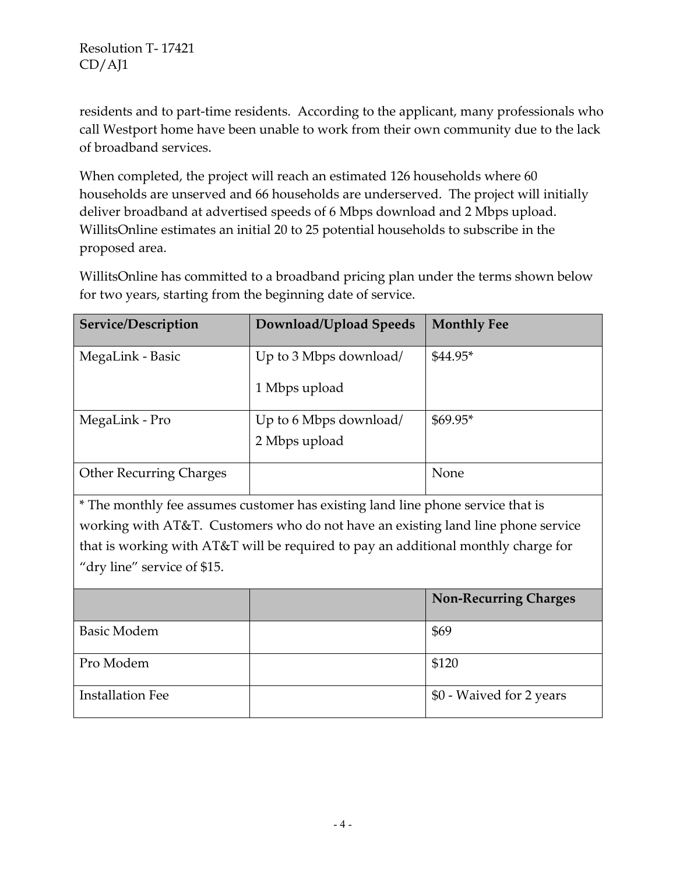residents and to part-time residents. According to the applicant, many professionals who call Westport home have been unable to work from their own community due to the lack of broadband services.

When completed, the project will reach an estimated 126 households where 60 households are unserved and 66 households are underserved. The project will initially deliver broadband at advertised speeds of 6 Mbps download and 2 Mbps upload. WillitsOnline estimates an initial 20 to 25 potential households to subscribe in the proposed area.

WillitsOnline has committed to a broadband pricing plan under the terms shown below for two years, starting from the beginning date of service.

| Service/Description            | Download/Upload Speeds                  | <b>Monthly Fee</b> |
|--------------------------------|-----------------------------------------|--------------------|
| MegaLink - Basic               | Up to 3 Mbps download/<br>1 Mbps upload | $$44.95*$          |
| MegaLink - Pro                 | Up to 6 Mbps download/<br>2 Mbps upload | $$69.95*$          |
| <b>Other Recurring Charges</b> |                                         | None               |

\* The monthly fee assumes customer has existing land line phone service that is working with AT&T. Customers who do not have an existing land line phone service that is working with AT&T will be required to pay an additional monthly charge for "dry line" service of \$15.

|                         | <b>Non-Recurring Charges</b> |
|-------------------------|------------------------------|
| <b>Basic Modem</b>      | \$69                         |
| Pro Modem               | \$120                        |
| <b>Installation Fee</b> | \$0 - Waived for 2 years     |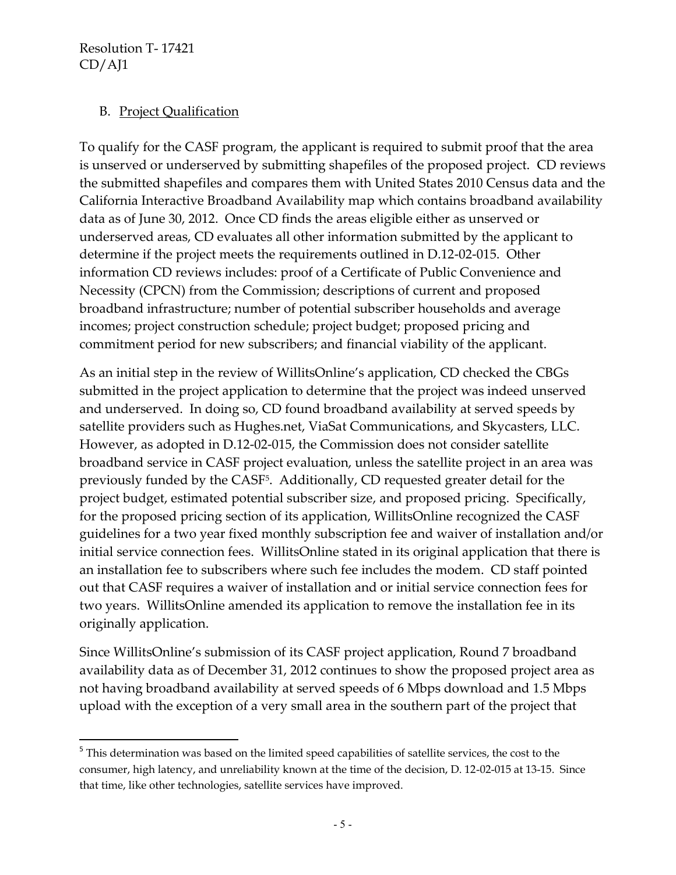$\overline{\phantom{a}}$ 

### B. Project Qualification

To qualify for the CASF program, the applicant is required to submit proof that the area is unserved or underserved by submitting shapefiles of the proposed project. CD reviews the submitted shapefiles and compares them with United States 2010 Census data and the California Interactive Broadband Availability map which contains broadband availability data as of June 30, 2012. Once CD finds the areas eligible either as unserved or underserved areas, CD evaluates all other information submitted by the applicant to determine if the project meets the requirements outlined in D.12-02-015. Other information CD reviews includes: proof of a Certificate of Public Convenience and Necessity (CPCN) from the Commission; descriptions of current and proposed broadband infrastructure; number of potential subscriber households and average incomes; project construction schedule; project budget; proposed pricing and commitment period for new subscribers; and financial viability of the applicant.

As an initial step in the review of WillitsOnline's application, CD checked the CBGs submitted in the project application to determine that the project was indeed unserved and underserved. In doing so, CD found broadband availability at served speeds by satellite providers such as Hughes.net, ViaSat Communications, and Skycasters, LLC. However, as adopted in D.12-02-015, the Commission does not consider satellite broadband service in CASF project evaluation, unless the satellite project in an area was previously funded by the CASF<sup>5</sup>. Additionally, CD requested greater detail for the project budget, estimated potential subscriber size, and proposed pricing. Specifically, for the proposed pricing section of its application, WillitsOnline recognized the CASF guidelines for a two year fixed monthly subscription fee and waiver of installation and/or initial service connection fees. WillitsOnline stated in its original application that there is an installation fee to subscribers where such fee includes the modem. CD staff pointed out that CASF requires a waiver of installation and or initial service connection fees for two years. WillitsOnline amended its application to remove the installation fee in its originally application.

Since WillitsOnline's submission of its CASF project application, Round 7 broadband availability data as of December 31, 2012 continues to show the proposed project area as not having broadband availability at served speeds of 6 Mbps download and 1.5 Mbps upload with the exception of a very small area in the southern part of the project that

<sup>&</sup>lt;sup>5</sup> This determination was based on the limited speed capabilities of satellite services, the cost to the consumer, high latency, and unreliability known at the time of the decision, D. 12-02-015 at 13-15. Since that time, like other technologies, satellite services have improved.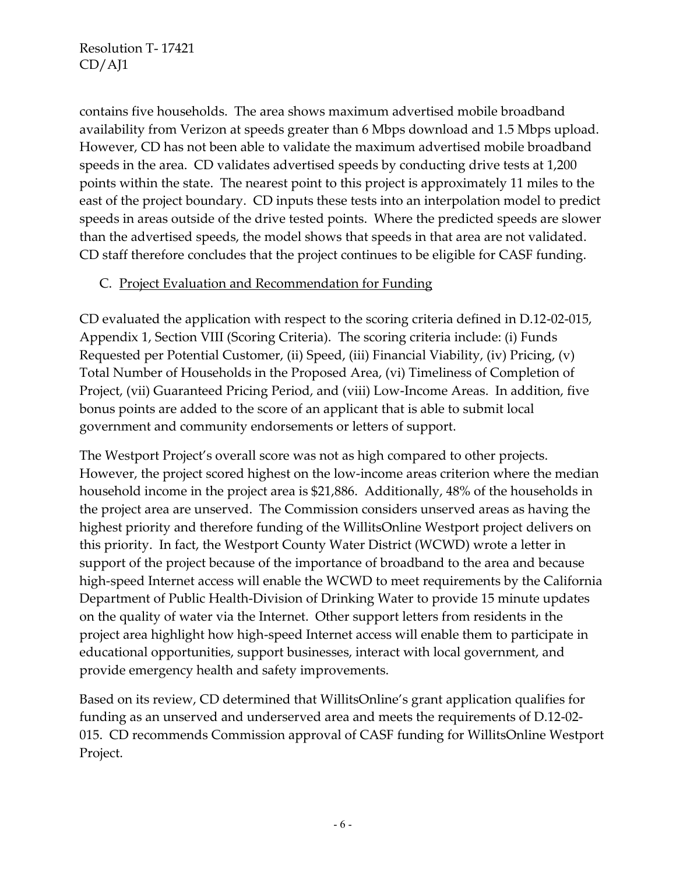contains five households. The area shows maximum advertised mobile broadband availability from Verizon at speeds greater than 6 Mbps download and 1.5 Mbps upload. However, CD has not been able to validate the maximum advertised mobile broadband speeds in the area. CD validates advertised speeds by conducting drive tests at 1,200 points within the state. The nearest point to this project is approximately 11 miles to the east of the project boundary. CD inputs these tests into an interpolation model to predict speeds in areas outside of the drive tested points. Where the predicted speeds are slower than the advertised speeds, the model shows that speeds in that area are not validated. CD staff therefore concludes that the project continues to be eligible for CASF funding.

### C. Project Evaluation and Recommendation for Funding

CD evaluated the application with respect to the scoring criteria defined in D.12-02-015, Appendix 1, Section VIII (Scoring Criteria). The scoring criteria include: (i) Funds Requested per Potential Customer, (ii) Speed, (iii) Financial Viability, (iv) Pricing, (v) Total Number of Households in the Proposed Area, (vi) Timeliness of Completion of Project, (vii) Guaranteed Pricing Period, and (viii) Low-Income Areas. In addition, five bonus points are added to the score of an applicant that is able to submit local government and community endorsements or letters of support.

The Westport Project's overall score was not as high compared to other projects. However, the project scored highest on the low-income areas criterion where the median household income in the project area is \$21,886. Additionally, 48% of the households in the project area are unserved. The Commission considers unserved areas as having the highest priority and therefore funding of the WillitsOnline Westport project delivers on this priority. In fact, the Westport County Water District (WCWD) wrote a letter in support of the project because of the importance of broadband to the area and because high-speed Internet access will enable the WCWD to meet requirements by the California Department of Public Health-Division of Drinking Water to provide 15 minute updates on the quality of water via the Internet. Other support letters from residents in the project area highlight how high-speed Internet access will enable them to participate in educational opportunities, support businesses, interact with local government, and provide emergency health and safety improvements.

Based on its review, CD determined that WillitsOnline's grant application qualifies for funding as an unserved and underserved area and meets the requirements of D.12-02- 015. CD recommends Commission approval of CASF funding for WillitsOnline Westport Project.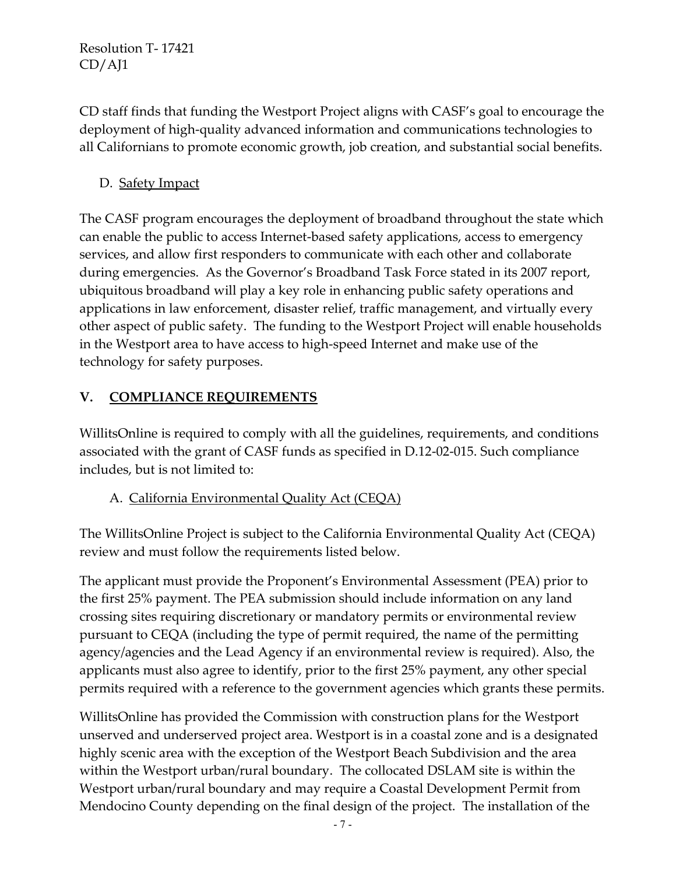CD staff finds that funding the Westport Project aligns with CASF's goal to encourage the deployment of high-quality advanced information and communications technologies to all Californians to promote economic growth, job creation, and substantial social benefits.

# D. Safety Impact

The CASF program encourages the deployment of broadband throughout the state which can enable the public to access Internet-based safety applications, access to emergency services, and allow first responders to communicate with each other and collaborate during emergencies. As the Governor's Broadband Task Force stated in its 2007 report, ubiquitous broadband will play a key role in enhancing public safety operations and applications in law enforcement, disaster relief, traffic management, and virtually every other aspect of public safety. The funding to the Westport Project will enable households in the Westport area to have access to high-speed Internet and make use of the technology for safety purposes.

# **V. COMPLIANCE REQUIREMENTS**

WillitsOnline is required to comply with all the guidelines, requirements, and conditions associated with the grant of CASF funds as specified in D.12-02-015. Such compliance includes, but is not limited to:

## A. California Environmental Quality Act (CEQA)

The WillitsOnline Project is subject to the California Environmental Quality Act (CEQA) review and must follow the requirements listed below.

The applicant must provide the Proponent's Environmental Assessment (PEA) prior to the first 25% payment. The PEA submission should include information on any land crossing sites requiring discretionary or mandatory permits or environmental review pursuant to CEQA (including the type of permit required, the name of the permitting agency/agencies and the Lead Agency if an environmental review is required). Also, the applicants must also agree to identify, prior to the first 25% payment, any other special permits required with a reference to the government agencies which grants these permits.

WillitsOnline has provided the Commission with construction plans for the Westport unserved and underserved project area. Westport is in a coastal zone and is a designated highly scenic area with the exception of the Westport Beach Subdivision and the area within the Westport urban/rural boundary. The collocated DSLAM site is within the Westport urban/rural boundary and may require a Coastal Development Permit from Mendocino County depending on the final design of the project. The installation of the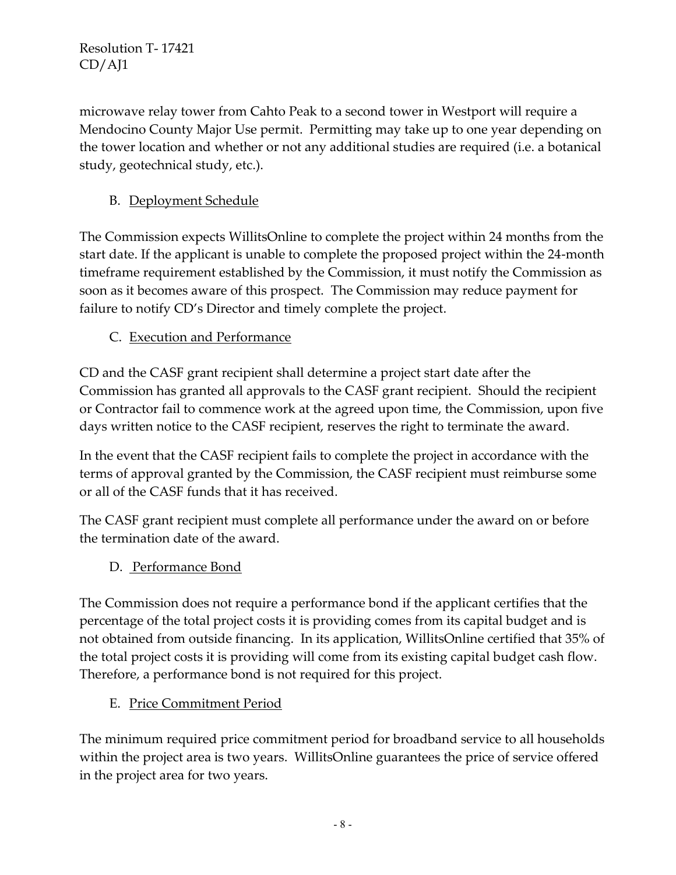microwave relay tower from Cahto Peak to a second tower in Westport will require a Mendocino County Major Use permit. Permitting may take up to one year depending on the tower location and whether or not any additional studies are required (i.e. a botanical study, geotechnical study, etc.).

# B. Deployment Schedule

The Commission expects WillitsOnline to complete the project within 24 months from the start date. If the applicant is unable to complete the proposed project within the 24-month timeframe requirement established by the Commission, it must notify the Commission as soon as it becomes aware of this prospect. The Commission may reduce payment for failure to notify CD's Director and timely complete the project.

# C. Execution and Performance

CD and the CASF grant recipient shall determine a project start date after the Commission has granted all approvals to the CASF grant recipient. Should the recipient or Contractor fail to commence work at the agreed upon time, the Commission, upon five days written notice to the CASF recipient, reserves the right to terminate the award.

In the event that the CASF recipient fails to complete the project in accordance with the terms of approval granted by the Commission, the CASF recipient must reimburse some or all of the CASF funds that it has received.

The CASF grant recipient must complete all performance under the award on or before the termination date of the award.

D. Performance Bond

The Commission does not require a performance bond if the applicant certifies that the percentage of the total project costs it is providing comes from its capital budget and is not obtained from outside financing. In its application, WillitsOnline certified that 35% of the total project costs it is providing will come from its existing capital budget cash flow. Therefore, a performance bond is not required for this project.

## E. Price Commitment Period

The minimum required price commitment period for broadband service to all households within the project area is two years. WillitsOnline guarantees the price of service offered in the project area for two years.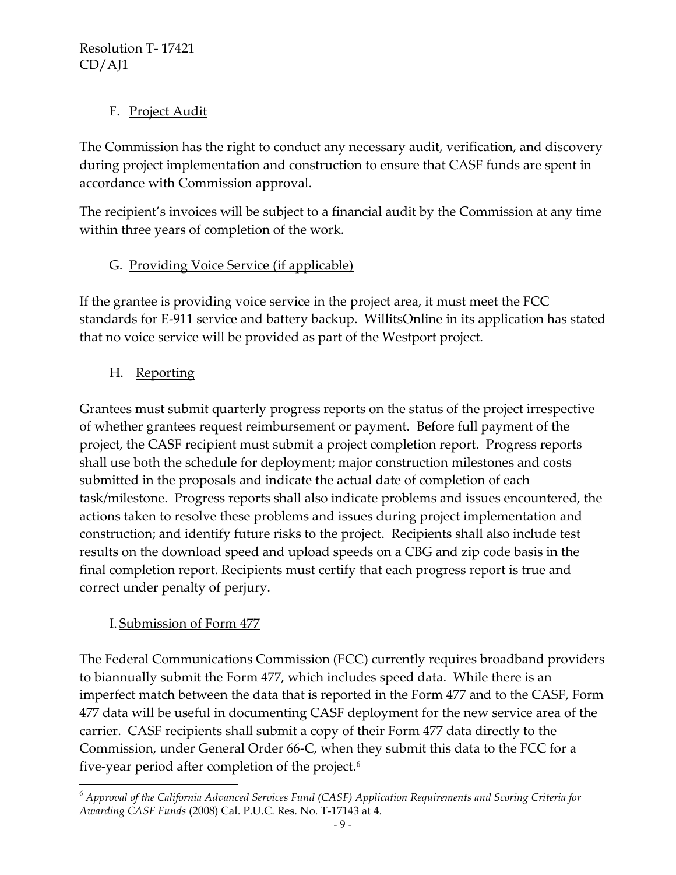# F. Project Audit

The Commission has the right to conduct any necessary audit, verification, and discovery during project implementation and construction to ensure that CASF funds are spent in accordance with Commission approval.

The recipient's invoices will be subject to a financial audit by the Commission at any time within three years of completion of the work.

# G. Providing Voice Service (if applicable)

If the grantee is providing voice service in the project area, it must meet the FCC standards for E-911 service and battery backup. WillitsOnline in its application has stated that no voice service will be provided as part of the Westport project.

# H. Reporting

Grantees must submit quarterly progress reports on the status of the project irrespective of whether grantees request reimbursement or payment. Before full payment of the project, the CASF recipient must submit a project completion report. Progress reports shall use both the schedule for deployment; major construction milestones and costs submitted in the proposals and indicate the actual date of completion of each task/milestone. Progress reports shall also indicate problems and issues encountered, the actions taken to resolve these problems and issues during project implementation and construction; and identify future risks to the project. Recipients shall also include test results on the download speed and upload speeds on a CBG and zip code basis in the final completion report. Recipients must certify that each progress report is true and correct under penalty of perjury.

## I. Submission of Form 477

 $\overline{\phantom{a}}$ 

The Federal Communications Commission (FCC) currently requires broadband providers to biannually submit the Form 477, which includes speed data. While there is an imperfect match between the data that is reported in the Form 477 and to the CASF, Form 477 data will be useful in documenting CASF deployment for the new service area of the carrier. CASF recipients shall submit a copy of their Form 477 data directly to the Commission, under General Order 66-C, when they submit this data to the FCC for a five-year period after completion of the project.<sup>6</sup>

<sup>6</sup> *Approval of the California Advanced Services Fund (CASF) Application Requirements and Scoring Criteria for Awarding CASF Funds* (2008) Cal. P.U.C. Res. No. T-17143 at 4.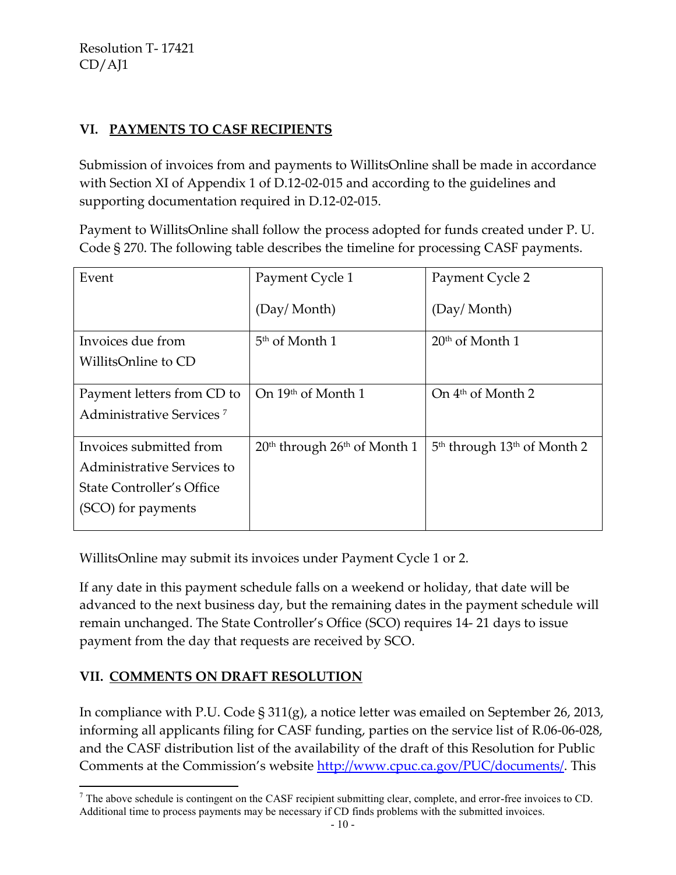## **VI. PAYMENTS TO CASF RECIPIENTS**

Submission of invoices from and payments to WillitsOnline shall be made in accordance with Section XI of Appendix 1 of D.12-02-015 and according to the guidelines and supporting documentation required in D.12-02-015.

Payment to WillitsOnline shall follow the process adopted for funds created under P. U. Code § 270. The following table describes the timeline for processing CASF payments.

| Event                                | Payment Cycle 1                                      | Payment Cycle 2                                     |
|--------------------------------------|------------------------------------------------------|-----------------------------------------------------|
|                                      | (Day/Month)                                          | (Day/Month)                                         |
| Invoices due from                    | 5 <sup>th</sup> of Month 1                           | $20th$ of Month 1                                   |
| WillitsOnline to CD                  |                                                      |                                                     |
|                                      |                                                      |                                                     |
| Payment letters from CD to           | On 19th of Month 1                                   | On $4th$ of Month 2                                 |
| Administrative Services <sup>7</sup> |                                                      |                                                     |
|                                      |                                                      |                                                     |
| Invoices submitted from              | 20 <sup>th</sup> through 26 <sup>th</sup> of Month 1 | 5 <sup>th</sup> through 13 <sup>th</sup> of Month 2 |
| <b>Administrative Services to</b>    |                                                      |                                                     |
| State Controller's Office            |                                                      |                                                     |
| (SCO) for payments                   |                                                      |                                                     |
|                                      |                                                      |                                                     |

WillitsOnline may submit its invoices under Payment Cycle 1 or 2.

If any date in this payment schedule falls on a weekend or holiday, that date will be advanced to the next business day, but the remaining dates in the payment schedule will remain unchanged. The State Controller's Office (SCO) requires 14- 21 days to issue payment from the day that requests are received by SCO.

### **VII. COMMENTS ON DRAFT RESOLUTION**

In compliance with P.U. Code § 311(g), a notice letter was emailed on September 26, 2013, informing all applicants filing for CASF funding, parties on the service list of R.06-06-028, and the CASF distribution list of the availability of the draft of this Resolution for Public Comments at the Commission's website [http://www.cpuc.ca.gov/PUC/documents/.](http://www.cpuc.ca.gov/PUC/documents/) This

 $\overline{\phantom{a}}$  $<sup>7</sup>$  The above schedule is contingent on the CASF recipient submitting clear, complete, and error-free invoices to CD.</sup> Additional time to process payments may be necessary if CD finds problems with the submitted invoices.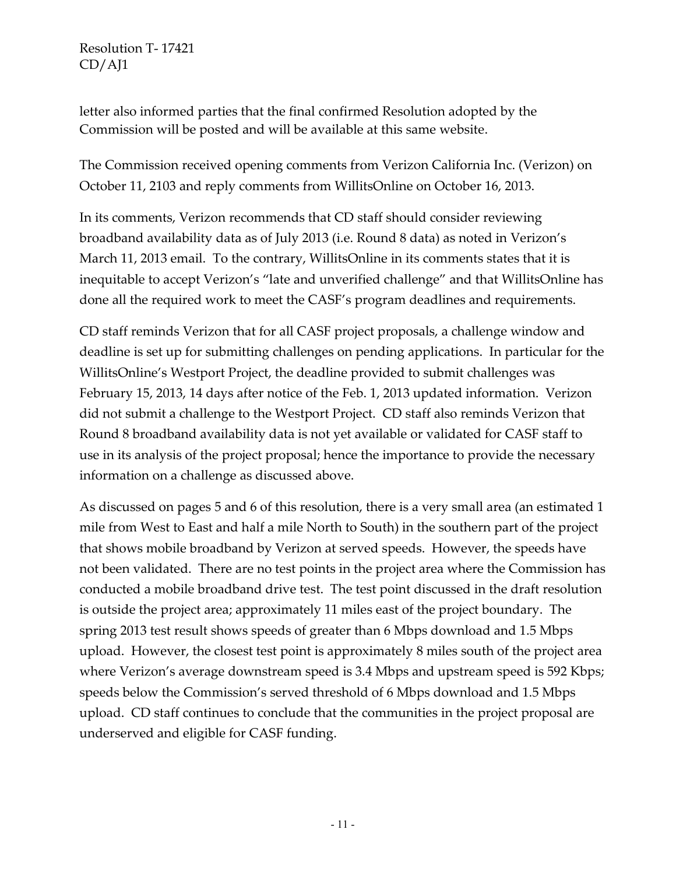letter also informed parties that the final confirmed Resolution adopted by the Commission will be posted and will be available at this same website.

The Commission received opening comments from Verizon California Inc. (Verizon) on October 11, 2103 and reply comments from WillitsOnline on October 16, 2013.

In its comments, Verizon recommends that CD staff should consider reviewing broadband availability data as of July 2013 (i.e. Round 8 data) as noted in Verizon's March 11, 2013 email. To the contrary, WillitsOnline in its comments states that it is inequitable to accept Verizon's "late and unverified challenge" and that WillitsOnline has done all the required work to meet the CASF's program deadlines and requirements.

CD staff reminds Verizon that for all CASF project proposals, a challenge window and deadline is set up for submitting challenges on pending applications. In particular for the WillitsOnline's Westport Project, the deadline provided to submit challenges was February 15, 2013, 14 days after notice of the Feb. 1, 2013 updated information. Verizon did not submit a challenge to the Westport Project. CD staff also reminds Verizon that Round 8 broadband availability data is not yet available or validated for CASF staff to use in its analysis of the project proposal; hence the importance to provide the necessary information on a challenge as discussed above.

As discussed on pages 5 and 6 of this resolution, there is a very small area (an estimated 1 mile from West to East and half a mile North to South) in the southern part of the project that shows mobile broadband by Verizon at served speeds. However, the speeds have not been validated. There are no test points in the project area where the Commission has conducted a mobile broadband drive test. The test point discussed in the draft resolution is outside the project area; approximately 11 miles east of the project boundary. The spring 2013 test result shows speeds of greater than 6 Mbps download and 1.5 Mbps upload. However, the closest test point is approximately 8 miles south of the project area where Verizon's average downstream speed is 3.4 Mbps and upstream speed is 592 Kbps; speeds below the Commission's served threshold of 6 Mbps download and 1.5 Mbps upload. CD staff continues to conclude that the communities in the project proposal are underserved and eligible for CASF funding.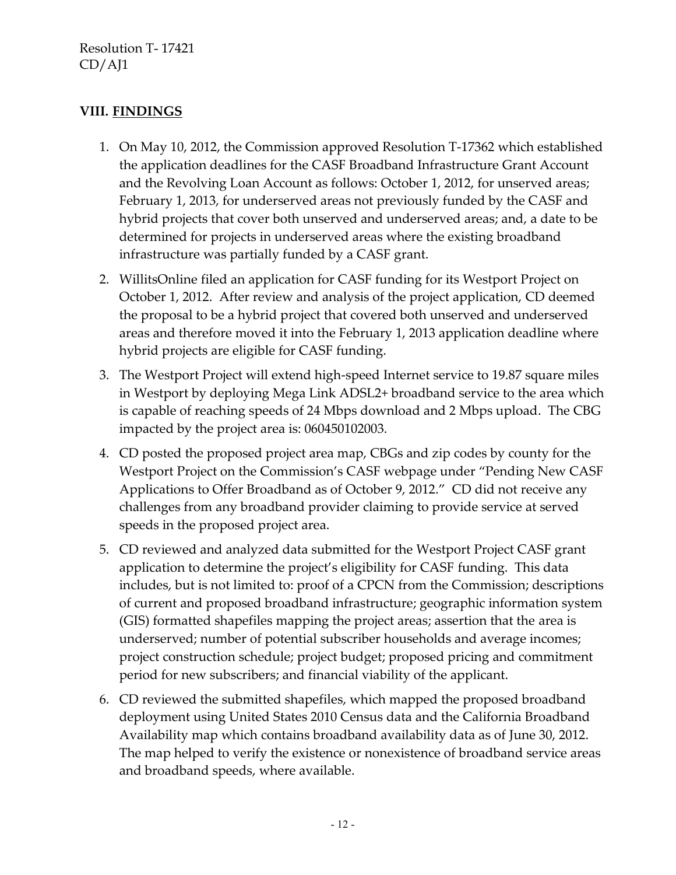### **VIII. FINDINGS**

- 1. On May 10, 2012, the Commission approved Resolution T-17362 which established the application deadlines for the CASF Broadband Infrastructure Grant Account and the Revolving Loan Account as follows: October 1, 2012, for unserved areas; February 1, 2013, for underserved areas not previously funded by the CASF and hybrid projects that cover both unserved and underserved areas; and, a date to be determined for projects in underserved areas where the existing broadband infrastructure was partially funded by a CASF grant.
- 2. WillitsOnline filed an application for CASF funding for its Westport Project on October 1, 2012. After review and analysis of the project application, CD deemed the proposal to be a hybrid project that covered both unserved and underserved areas and therefore moved it into the February 1, 2013 application deadline where hybrid projects are eligible for CASF funding.
- 3. The Westport Project will extend high-speed Internet service to 19.87 square miles in Westport by deploying Mega Link ADSL2+ broadband service to the area which is capable of reaching speeds of 24 Mbps download and 2 Mbps upload. The CBG impacted by the project area is: 060450102003.
- 4. CD posted the proposed project area map, CBGs and zip codes by county for the Westport Project on the Commission's CASF webpage under "Pending New CASF Applications to Offer Broadband as of October 9, 2012." CD did not receive any challenges from any broadband provider claiming to provide service at served speeds in the proposed project area.
- 5. CD reviewed and analyzed data submitted for the Westport Project CASF grant application to determine the project's eligibility for CASF funding. This data includes, but is not limited to: proof of a CPCN from the Commission; descriptions of current and proposed broadband infrastructure; geographic information system (GIS) formatted shapefiles mapping the project areas; assertion that the area is underserved; number of potential subscriber households and average incomes; project construction schedule; project budget; proposed pricing and commitment period for new subscribers; and financial viability of the applicant.
- 6. CD reviewed the submitted shapefiles, which mapped the proposed broadband deployment using United States 2010 Census data and the California Broadband Availability map which contains broadband availability data as of June 30, 2012. The map helped to verify the existence or nonexistence of broadband service areas and broadband speeds, where available.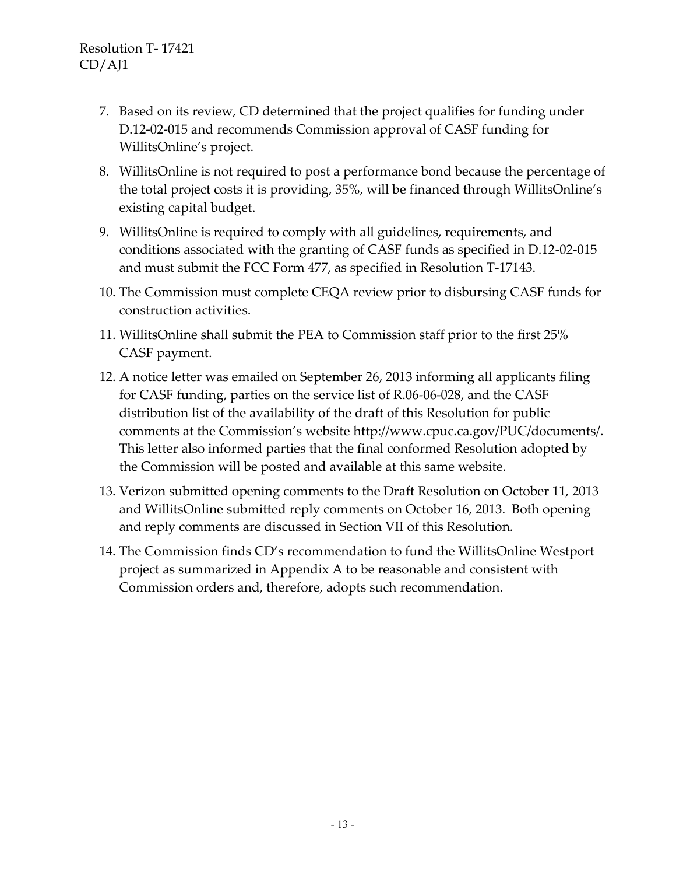- 7. Based on its review, CD determined that the project qualifies for funding under D.12-02-015 and recommends Commission approval of CASF funding for WillitsOnline's project.
- 8. WillitsOnline is not required to post a performance bond because the percentage of the total project costs it is providing, 35%, will be financed through WillitsOnline's existing capital budget.
- 9. WillitsOnline is required to comply with all guidelines, requirements, and conditions associated with the granting of CASF funds as specified in D.12-02-015 and must submit the FCC Form 477, as specified in Resolution T-17143.
- 10. The Commission must complete CEQA review prior to disbursing CASF funds for construction activities.
- 11. WillitsOnline shall submit the PEA to Commission staff prior to the first 25% CASF payment.
- 12. A notice letter was emailed on September 26, 2013 informing all applicants filing for CASF funding, parties on the service list of R.06-06-028, and the CASF distribution list of the availability of the draft of this Resolution for public comments at the Commission's website [http://www.cpuc.ca.gov/PUC/documents/.](http://www.cpuc.ca.gov/PUC/documents/) This letter also informed parties that the final conformed Resolution adopted by the Commission will be posted and available at this same website.
- 13. Verizon submitted opening comments to the Draft Resolution on October 11, 2013 and WillitsOnline submitted reply comments on October 16, 2013. Both opening and reply comments are discussed in Section VII of this Resolution.
- 14. The Commission finds CD's recommendation to fund the WillitsOnline Westport project as summarized in Appendix A to be reasonable and consistent with Commission orders and, therefore, adopts such recommendation.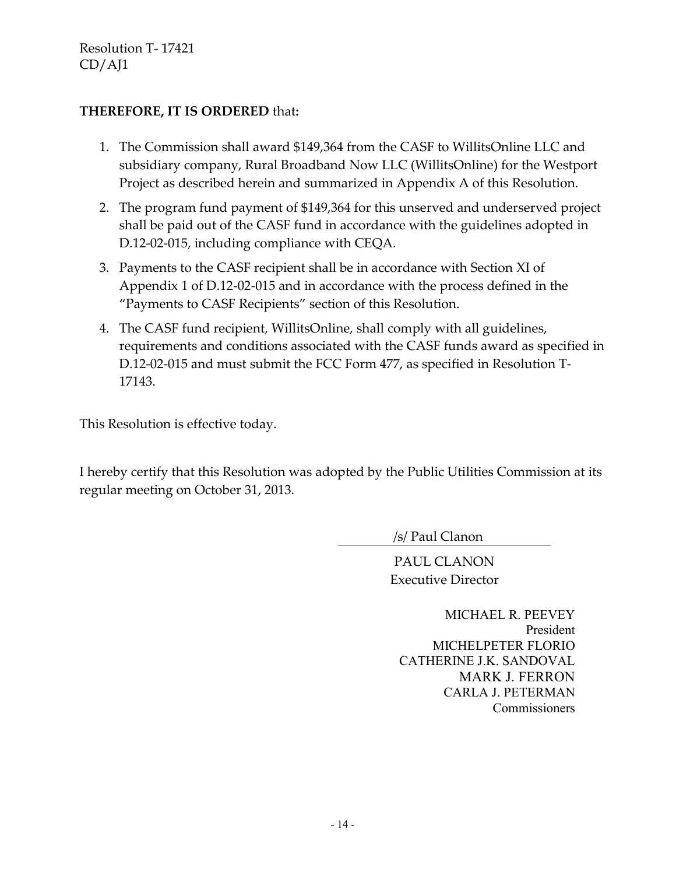### **THEREFORE, IT IS ORDERED** that**:**

- 1. The Commission shall award \$149,364 from the CASF to WillitsOnline LLC and subsidiary company, Rural Broadband Now LLC (WillitsOnline) for the Westport Project as described herein and summarized in Appendix A of this Resolution.
- 2. The program fund payment of \$149,364 for this unserved and underserved project shall be paid out of the CASF fund in accordance with the guidelines adopted in D.12-02-015, including compliance with CEQA.
- 3. Payments to the CASF recipient shall be in accordance with Section XI of Appendix 1 of D.12-02-015 and in accordance with the process defined in the "Payments to CASF Recipients" section of this Resolution.
- 4. The CASF fund recipient, WillitsOnline, shall comply with all guidelines, requirements and conditions associated with the CASF funds award as specified in D.12-02-015 and must submit the FCC Form 477, as specified in Resolution T-17143.

This Resolution is effective today.

I hereby certify that this Resolution was adopted by the Public Utilities Commission at its regular meeting on October 31, 2013.

/s/ Paul Clanon

PAUL CLANON Executive Director

MICHAEL R. PEEVEY President MICHELPETER FLORIO CATHERINE J.K. SANDOVAL MARK J. FERRON CARLA J. PETERMAN Commissioners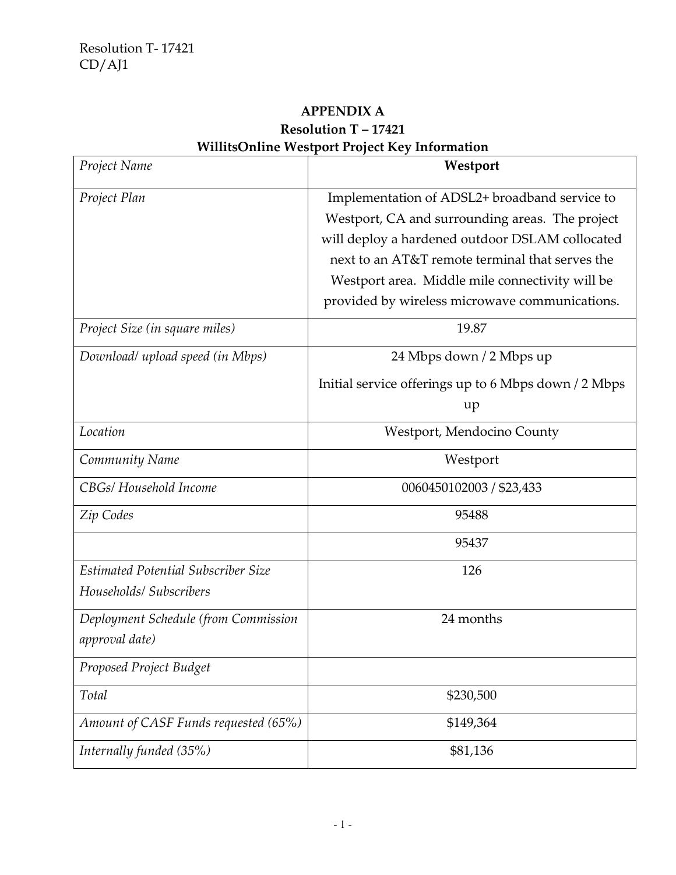# **APPENDIX A Resolution T – 17421 WillitsOnline Westport Project Key Information**

| Project Name                                                   | Westport                                                                                                                                                                                                                                                                                                    |
|----------------------------------------------------------------|-------------------------------------------------------------------------------------------------------------------------------------------------------------------------------------------------------------------------------------------------------------------------------------------------------------|
| Project Plan                                                   | Implementation of ADSL2+ broadband service to<br>Westport, CA and surrounding areas. The project<br>will deploy a hardened outdoor DSLAM collocated<br>next to an AT&T remote terminal that serves the<br>Westport area. Middle mile connectivity will be<br>provided by wireless microwave communications. |
| Project Size (in square miles)                                 | 19.87                                                                                                                                                                                                                                                                                                       |
| Download/ upload speed (in Mbps)                               | 24 Mbps down / 2 Mbps up<br>Initial service offerings up to 6 Mbps down / 2 Mbps<br>up                                                                                                                                                                                                                      |
| Location                                                       | Westport, Mendocino County                                                                                                                                                                                                                                                                                  |
| Community Name                                                 | Westport                                                                                                                                                                                                                                                                                                    |
| CBGs/ Household Income                                         | 0060450102003 / \$23,433                                                                                                                                                                                                                                                                                    |
| Zip Codes                                                      | 95488                                                                                                                                                                                                                                                                                                       |
|                                                                | 95437                                                                                                                                                                                                                                                                                                       |
| Estimated Potential Subscriber Size<br>Households/ Subscribers | 126                                                                                                                                                                                                                                                                                                         |
| Deployment Schedule (from Commission<br>approval date)         | 24 months                                                                                                                                                                                                                                                                                                   |
| Proposed Project Budget                                        |                                                                                                                                                                                                                                                                                                             |
| Total                                                          | \$230,500                                                                                                                                                                                                                                                                                                   |
| Amount of CASF Funds requested (65%)                           | \$149,364                                                                                                                                                                                                                                                                                                   |
| Internally funded (35%)                                        | \$81,136                                                                                                                                                                                                                                                                                                    |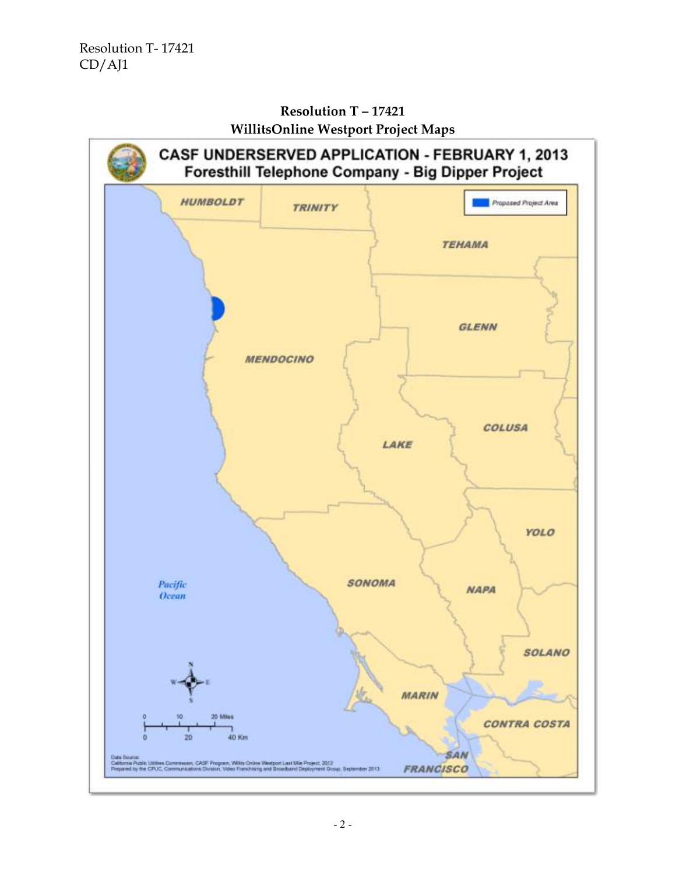